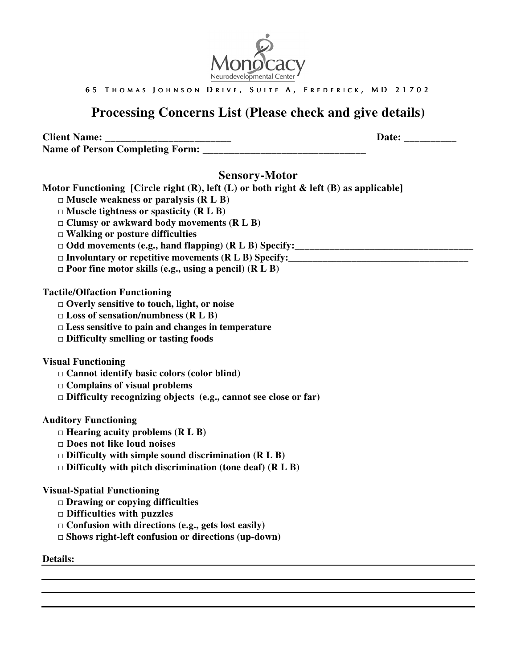

65 THOMAS JOHNSON DRIVE, SUITE A, FREDERICK, MD 21702

# **Processing Concerns List (Please check and give details)**

**Client Name:**  $\qquad \qquad$  **Date:**  $\qquad \qquad$ Name of Person Completing Form:

## **Sensory-Motor**

**Motor Functioning [Circle right (R), left (L) or both right & left (B) as applicable]** 

- □ **Muscle weakness or paralysis (R L B)**
- □ **Muscle tightness or spasticity (R L B)**
- □ **Clumsy or awkward body movements (R L B)**
- □ **Walking or posture difficulties**
- $\Box$  **Odd movements (e.g., hand flapping) (R L B) Specify:**
- $\Box$  Involuntary or repetitive movements (R L B) Specify:
- □ **Poor fine motor skills (e.g., using a pencil) (R L B)**

#### **Tactile/Olfaction Functioning**

- □ **Overly sensitive to touch, light, or noise**
- □ **Loss of sensation/numbness (R L B)**
- □ **Less sensitive to pain and changes in temperature**
- □ **Difficulty smelling or tasting foods**

**Visual Functioning** 

- □ **Cannot identify basic colors (color blind)**
- □ **Complains of visual problems**
- □ **Difficulty recognizing objects (e.g., cannot see close or far)**

#### **Auditory Functioning**

- □ **Hearing acuity problems (R L B)**
- □ **Does not like loud noises**
- □ **Difficulty with simple sound discrimination (R L B)**
- □ **Difficulty with pitch discrimination (tone deaf) (R L B)**

#### **Visual-Spatial Functioning**

- □ **Drawing or copying difficulties**
- □ **Difficulties with puzzles**
- □ **Confusion with directions (e.g., gets lost easily)**
- □ **Shows right-left confusion or directions (up-down)**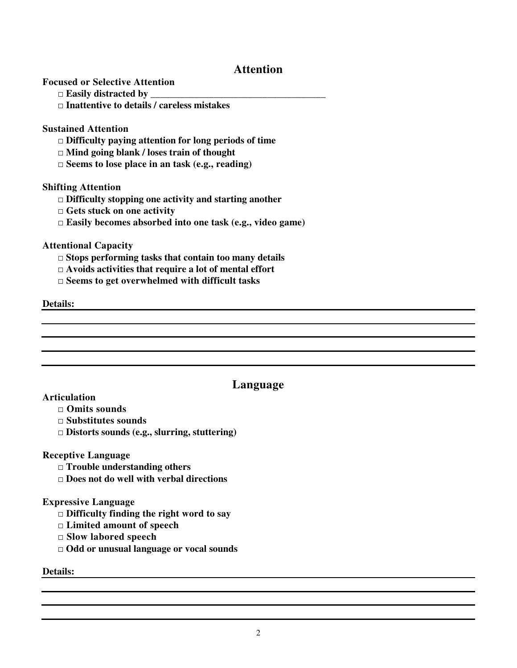# **Attention**

**Focused or Selective Attention** 

- □ **Easily distracted by \_\_\_\_\_\_\_\_\_\_\_\_\_\_\_\_\_\_\_\_\_\_\_\_\_\_\_\_\_\_\_\_\_\_\_\_**
- □ **Inattentive to details / careless mistakes**

#### **Sustained Attention**

- □ **Difficulty paying attention for long periods of time**
- □ **Mind going blank / loses train of thought**
- □ **Seems to lose place in an task (e.g., reading)**

#### **Shifting Attention**

- □ **Difficulty stopping one activity and starting another**
- □ **Gets stuck on one activity**
- □ **Easily becomes absorbed into one task (e.g., video game)**

#### **Attentional Capacity**

- □ **Stops performing tasks that contain too many details**
- □ **Avoids activities that require a lot of mental effort**
- □ **Seems to get overwhelmed with difficult tasks**

#### **Details:**

## **Language**

#### **Articulation**

- □ **Omits sounds**
- □ **Substitutes sounds**
- □ **Distorts sounds (e.g., slurring, stuttering)**

#### **Receptive Language**

- □ **Trouble understanding others**
- □ **Does not do well with verbal directions**

#### **Expressive Language**

- □ **Difficulty finding the right word to say**
- □ **Limited amount of speech**
- □ **Slow labored speech**
- □ **Odd or unusual language or vocal sounds**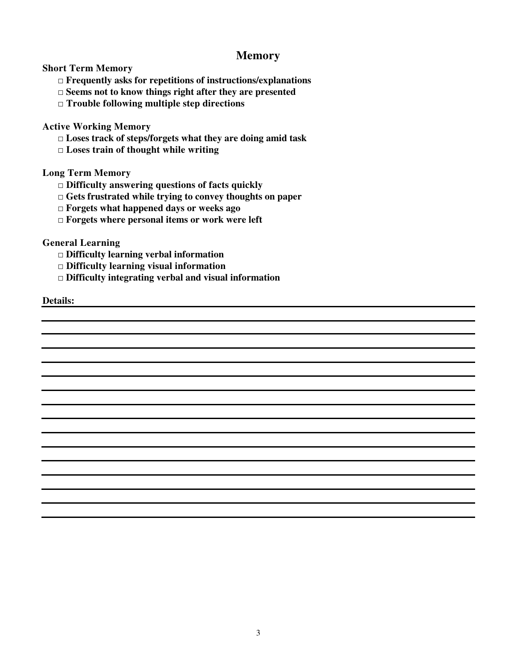## **Memory**

**Short Term Memory** 

- □ **Frequently asks for repetitions of instructions/explanations**
- □ **Seems not to know things right after they are presented**
- □ **Trouble following multiple step directions**

**Active Working Memory** 

- □ **Loses track of steps/forgets what they are doing amid task**
- □ **Loses train of thought while writing**

### **Long Term Memory**

- □ **Difficulty answering questions of facts quickly**
- □ **Gets frustrated while trying to convey thoughts on paper**
- □ **Forgets what happened days or weeks ago**
- □ **Forgets where personal items or work were left**

**General Learning** 

- □ **Difficulty learning verbal information**
- □ **Difficulty learning visual information**
- □ **Difficulty integrating verbal and visual information**